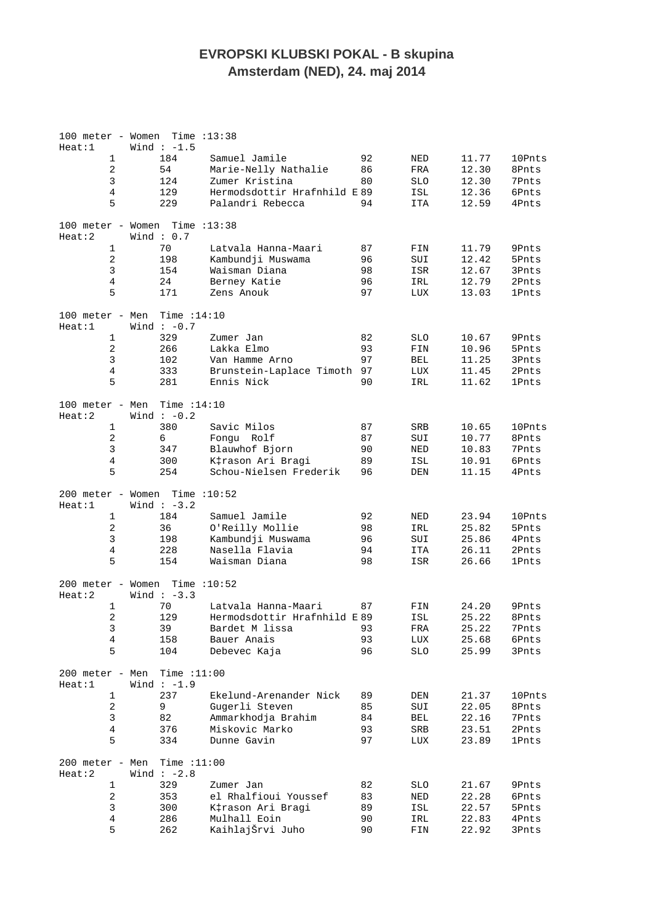## **EVROPSKI KLUBSKI POKAL - B skupina Amsterdam (NED), 24. maj 2014**

| 100 meter - Women           |                | Time $:13:38$                  |                                  |          |              |                |                |
|-----------------------------|----------------|--------------------------------|----------------------------------|----------|--------------|----------------|----------------|
| Heat:1                      |                | Wind $: -1.5$                  |                                  |          |              |                |                |
|                             | $\mathbf 1$    | 184                            | Samuel Jamile                    | 92       | NED          | 11.77          | 10Pnts         |
|                             | $\sqrt{2}$     | 54                             | Marie-Nelly Nathalie             | 86       | FRA          | 12.30          | 8Pnts          |
|                             | $\mathsf 3$    | 124                            | Zumer Kristina                   | 80       | <b>SLO</b>   | 12.30          | 7Pnts          |
|                             | $\,4$          | 129                            | Hermodsdottir Hrafnhild E89      |          | ISL          | 12.36          | 6Pnts          |
|                             | 5              | 229                            | Palandri Rebecca                 | 94       | ITA          | 12.59          | 4Pnts          |
| 100 meter - Women           |                | Time $:13:38$                  |                                  |          |              |                |                |
| Heat:2                      |                | Wind: $0.7$                    |                                  |          |              |                |                |
|                             | $\mathbf 1$    | 70                             | Latvala Hanna-Maari              | 87       | FIN          | 11.79          | 9Pnts          |
|                             | $\overline{2}$ | 198                            | Kambundji Muswama                | 96       | SUI          | 12.42          | 5Pnts          |
|                             | $\mathsf 3$    | 154                            | Waisman Diana                    | 98       | ISR          | 12.67          | 3Pnts          |
|                             | $\,4$          | 24                             | Berney Katie                     | 96       | IRL          | 12.79          | 2Pnts          |
|                             | 5              | 171                            | Zens Anouk                       | 97       | LUX          | 13.03          | <b>1Pnts</b>   |
| 100 meter - Men             |                | Time $:14:10$                  |                                  |          |              |                |                |
| Heat:1                      |                | Wind $: -0.7$                  |                                  |          |              |                |                |
|                             | $\mathbf 1$    | 329                            | Zumer Jan                        | 82       | <b>SLO</b>   | 10.67          | 9Pnts          |
|                             | $\sqrt{2}$     | 266                            | Lakka Elmo                       | 93       | FIN          | 10.96          | 5Pnts          |
|                             | $\mathsf 3$    | 102                            | Van Hamme Arno                   | 97       | BEL          | 11.25          | 3Pnts          |
|                             | $\overline{4}$ | 333                            | Brunstein-Laplace Timoth         | 97       | LUX          | 11.45          | 2Pnts          |
|                             | 5              | 281                            | Ennis Nick                       | 90       | IRL          | 11.62          | <b>1Pnts</b>   |
| 100 meter - Men<br>Heat:2   |                | Time $:14:10$<br>Wind $: -0.2$ |                                  |          |              |                |                |
|                             | $\mathbf 1$    | 380                            | Savic Milos                      | 87       | SRB          | 10.65          | 10Pnts         |
|                             | $\overline{2}$ | 6                              | Fonqu Rolf                       | 87       | SUI          | 10.77          | 8Pnts          |
|                             | $\mathsf 3$    | 347                            | Blauwhof Bjorn                   | 90       | $\rm NED$    | 10.83          | 7Pnts          |
|                             | $\,4$          | 300                            | K‡rason Ari Bragi                | 89       | ISL          |                | 6Pnts          |
|                             | 5              | 254                            | Schou-Nielsen Frederik           | 96       | DEN          | 10.91<br>11.15 | 4Pnts          |
|                             |                |                                |                                  |          |              |                |                |
| 200 meter - Women<br>Heat:1 |                | Time $:10:52$<br>Wind $: -3.2$ |                                  |          |              |                |                |
|                             | $\mathbf{1}$   | 184                            | Samuel Jamile                    | 92       | NED          | 23.94          | 10Pnts         |
|                             | $\overline{2}$ | 36                             | O'Reilly Mollie                  | 98       | IRL          | 25.82          | 5Pnts          |
|                             | $\mathsf 3$    | 198                            | Kambundji Muswama                | 96       | SUI          | 25.86          | 4Pnts          |
|                             | 4              | 228                            | Nasella Flavia                   | 94       | ITA          | 26.11          | 2Pnts          |
|                             | 5              | 154                            | Waisman Diana                    | 98       | ISR          | 26.66          | <b>1Pnts</b>   |
| 200 meter - Women<br>Heat:2 |                | Time $:10:52$<br>Wind $: -3.3$ |                                  |          |              |                |                |
|                             | $\mathbf{1}$   | 70                             | Latvala Hanna-Maari              | 87       | FIN          | 24.20          | 9Pnts          |
|                             | 2              | 129                            | Hermodsdottir Hrafnhild E89      |          | ISL          | 25.22          | 8Pnts          |
|                             | 3              | 39                             | Bardet M lissa                   | 93       | $_{\rm FRA}$ | 25.22          | 7Pnts          |
|                             | $\bf 4$        | 158                            | Bauer Anais                      | 93       | LUX          | 25.68          | 6Pnts          |
|                             | 5              | 104                            | Debevec Kaja                     | 96       | SLO          | 25.99          | 3Pnts          |
| 200 meter - Men<br>Heat:1   |                | Time $:11:00$<br>Wind $:-1.9$  |                                  |          |              |                |                |
|                             |                |                                |                                  |          |              |                |                |
|                             |                |                                |                                  |          |              |                |                |
|                             | $\mathbf 1$    | 237                            | Ekelund-Arenander Nick           | 89       | DEN          | 21.37          | 10Pnts         |
|                             | $\sqrt{2}$     | 9                              | Gugerli Steven                   | 85       | SUI          | 22.05          | 8Pnts          |
|                             | $\mathsf 3$    | 82                             | Ammarkhodja Brahim               | 84       | BEL          | 22.16          | 7Pnts          |
|                             | $\,4$          | 376                            | Miskovic Marko                   | 93       | SRB          | 23.51          | 2Pnts          |
|                             | 5              | 334                            | Dunne Gavin                      | 97       | LUX          | 23.89          | <b>1Pnts</b>   |
| 200 meter - Men<br>Heat:2   |                | Time $:11:00$<br>Wind $:-2.8$  |                                  |          |              |                |                |
|                             |                |                                |                                  |          |              |                |                |
|                             | 1              | 329                            | Zumer Jan                        | 82       | SLO          | 21.67          | 9Pnts          |
|                             | $\sqrt{2}$     | 353                            | el Rhalfioui Youssef             | 83       | NED          | 22.28          | 6Pnts          |
|                             | 3              | 300                            | K‡rason Ari Bragi                | 89       | ISL          | 22.57          | 5Pnts          |
|                             | $\bf 4$<br>5   | 286<br>262                     | Mulhall Eoin<br>KaihlajŠrvi Juho | 90<br>90 | IRL<br>FIN   | 22.83<br>22.92 | 4Pnts<br>3Pnts |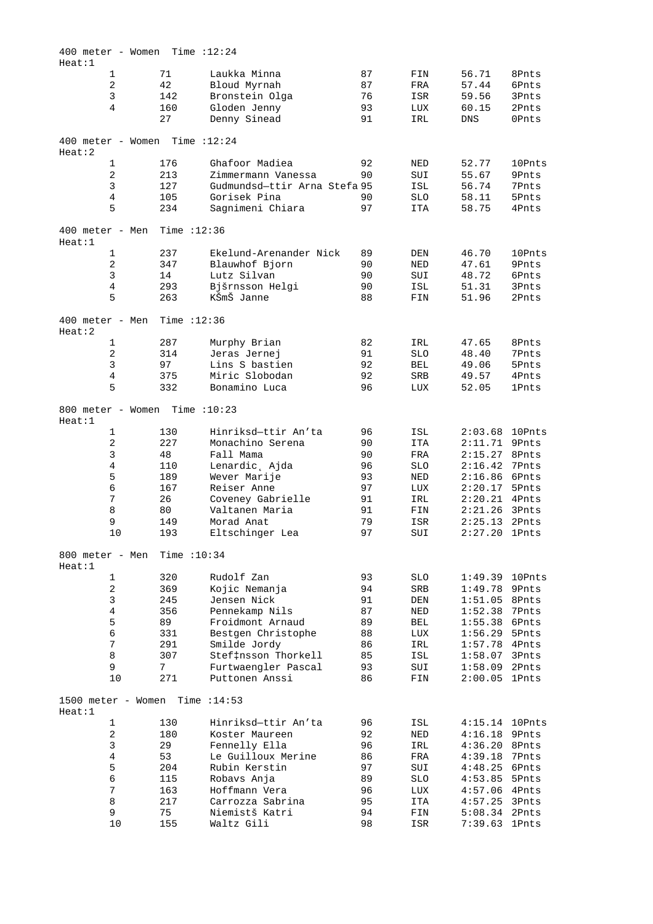| 400 meter - Women           |                |    |               | Time $:12:24$                |    |            |                 |              |
|-----------------------------|----------------|----|---------------|------------------------------|----|------------|-----------------|--------------|
| Heat:1                      |                |    |               |                              |    |            |                 |              |
|                             | 1              |    | 71            | Laukka Minna                 | 87 | FIN        | 56.71           | 8Pnts        |
|                             | $\sqrt{2}$     | 42 |               | Bloud Myrnah                 | 87 | FRA        | 57.44           | 6Pnts        |
|                             | $\mathsf 3$    |    | 142           | Bronstein Olga               | 76 | ISR        | 59.56           | 3Pnts        |
|                             | 4              |    | 160           | Gloden Jenny                 | 93 | LUX        | 60.15           | 2Pnts        |
|                             |                |    | 27            | Denny Sinead                 | 91 | IRL        | <b>DNS</b>      | 0Pnts        |
| 400 meter - Women<br>Heat:2 |                |    |               | Time $:12:24$                |    |            |                 |              |
|                             | $1\,$          |    | 176           | Ghafoor Madiea               | 92 | NED        | 52.77           | 10Pnts       |
|                             | $\overline{c}$ |    | 213           | Zimmermann Vanessa           | 90 | SUI        | 55.67           | 9Pnts        |
|                             | 3              |    | 127           | Gudmundsd-ttir Arna Stefa 95 |    | ISL        | 56.74           | 7Pnts        |
|                             | 4              |    | 105           | Gorisek Pina                 | 90 | <b>SLO</b> | 58.11           | 5Pnts        |
|                             | 5              |    | 234           | Sagnimeni Chiara             | 97 | <b>ITA</b> | 58.75           | 4Pnts        |
|                             |                |    |               |                              |    |            |                 |              |
| 400 meter - Men<br>Heat:1   |                |    | Time $:12:36$ |                              |    |            |                 |              |
|                             | 1              |    | 237           | Ekelund-Arenander Nick       | 89 | DEN        | 46.70           | 10Pnts       |
|                             | $\overline{2}$ |    | 347           | Blauwhof Bjorn               | 90 | NED        | 47.61           | 9Pnts        |
|                             | $\mathsf 3$    |    | 14            | Lutz Silvan                  | 90 | SUI        | 48.72           | 6Pnts        |
|                             | $\overline{4}$ |    | 293           | Bjšrnsson Helgi              | 90 | ISL        | 51.31           | 3Pnts        |
|                             | 5              |    | 263           | KŠmŠ Janne                   | 88 | FIN        | 51.96           | 2Pnts        |
| 400 meter - Men<br>Heat:2   |                |    | Time $:12:36$ |                              |    |            |                 |              |
|                             | $1\,$          |    | 287           | Murphy Brian                 | 82 | IRL        | 47.65           | 8Pnts        |
|                             | $\sqrt{2}$     |    | 314           | Jeras Jernej                 | 91 | <b>SLO</b> | 48.40           | 7Pnts        |
|                             | $\mathsf{3}$   |    | 97            | Lins S bastien               | 92 | BEL        | 49.06           | 5Pnts        |
|                             | $\,4$          |    | 375           | Miric Slobodan               | 92 | SRB        | 49.57           | 4Pnts        |
|                             | 5              |    | 332           | Bonamino Luca                | 96 | LUX        | 52.05           | <b>1Pnts</b> |
| 800 meter - Women           |                |    |               | Time $:10:23$                |    |            |                 |              |
| Heat:1                      |                |    |               |                              |    |            |                 |              |
|                             | $1\,$          |    | 130           | Hinriksd-ttir An'ta          | 96 | ISL        | 2:03.68         | 10Pnts       |
|                             | $\overline{2}$ |    | 227           | Monachino Serena             | 90 | <b>ITA</b> | 2:11.71         | 9Pnts        |
|                             | $\mathsf 3$    | 48 |               | Fall Mama                    | 90 | FRA        | 2:15.27         | 8Pnts        |
|                             | 4              |    | 110           | Lenardic, Ajda               | 96 | <b>SLO</b> | 2:16.42         | 7Pnts        |
|                             | 5              |    | 189           | Wever Marije                 | 93 | NED        | 2:16.86 6Pnts   |              |
|                             | 6              |    | 167           | Reiser Anne                  | 97 | LUX        | 2:20.17         | 5Pnts        |
|                             | $\overline{7}$ | 26 |               | Coveney Gabrielle            | 91 | IRL        | 2:20.21         | 4Pnts        |
|                             | 8              | 80 |               | Valtanen Maria               | 91 | FIN        | 2:21.26         | 3Pnts        |
|                             | 9              |    | 149           | Morad Anat                   | 79 | ISR        | 2:25.13         | 2Pnts        |
|                             | 10             |    | 193           | Eltschinger Lea              | 97 | SUI        | 2:27.20         | <b>1Pnts</b> |
| 800 meter - Men<br>Heat:1   |                |    | Time $:10:34$ |                              |    |            |                 |              |
|                             | 1              |    | 320           | Rudolf Zan                   | 93 | <b>SLO</b> | 1:49.39 10Pnts  |              |
|                             | $\overline{c}$ |    | 369           | Kojic Nemanja                | 94 | SRB        | $1:49.78$ 9Pnts |              |
|                             | $\mathsf{3}$   |    | 245           | Jensen Nick                  | 91 | DEN        | $1:51.05$ 8Pnts |              |
|                             | $\overline{4}$ |    | 356           | Pennekamp Nils               | 87 | <b>NED</b> | 1:52.38         | 7Pnts        |
|                             | 5              |    | 89            | Froidmont Arnaud             | 89 | <b>BEL</b> | $1:55.38$ 6Pnts |              |
|                             | $\epsilon$     |    | 331           | Bestgen Christophe           | 88 | <b>LUX</b> | $1:56.29$ 5Pnts |              |
|                             | $\sqrt{ }$     |    | 291           | Smilde Jordy                 | 86 | IRL        | 1:57.78         | 4Pnts        |
|                             | 8              |    | 307           | Stef‡nsson Thorkell          | 85 | ISL        | 1:58.07         | 3Pnts        |
|                             | 9              | 7  |               | Furtwaengler Pascal          | 93 | SUI        | $1:58.09$ 2Pnts |              |
|                             | 10             |    | 271           | Puttonen Anssi               | 86 | FIN        | $2:00.05$ 1Pnts |              |
| 1500 meter - Women          |                |    |               | Time $:14:53$                |    |            |                 |              |
| Heat:1                      |                |    |               |                              |    |            |                 |              |
|                             | 1              |    | 130           | Hinriksd-ttir An'ta          | 96 | ISL        | 4:15.14 10Pnts  |              |
|                             | $\overline{c}$ |    | 180           | Koster Maureen               | 92 | NED        | $4:16.18$ 9Pnts |              |
|                             | 3              |    | 29            | Fennelly Ella                | 96 | IRL        | 4:36.20 8Pnts   |              |
|                             | $\overline{4}$ |    | 53            | Le Guilloux Merine           | 86 | FRA        | 4:39.18 7Pnts   |              |
|                             | 5              |    | 204           | Rubin Kerstin                | 97 | SUI        | $4:48.25$ 6Pnts |              |
|                             | $\epsilon$     |    | 115           | Robavs Anja                  | 89 | SLO        | 4:53.85         | 5Pnts        |
|                             | $\sqrt{ }$     |    | 163           | Hoffmann Vera                | 96 | LUX        | 4:57.06 4Pnts   |              |
|                             | 8              |    | 217           | Carrozza Sabrina             | 95 | ITA        | 4:57.25         | 3Pnts        |
|                             | 9              | 75 |               | Niemistš Katri               | 94 | FIN        | 5:08.34 2Pnts   |              |
|                             | 10             |    | 155           | Waltz Gili                   | 98 | ISR        | 7:39.63 1Pnts   |              |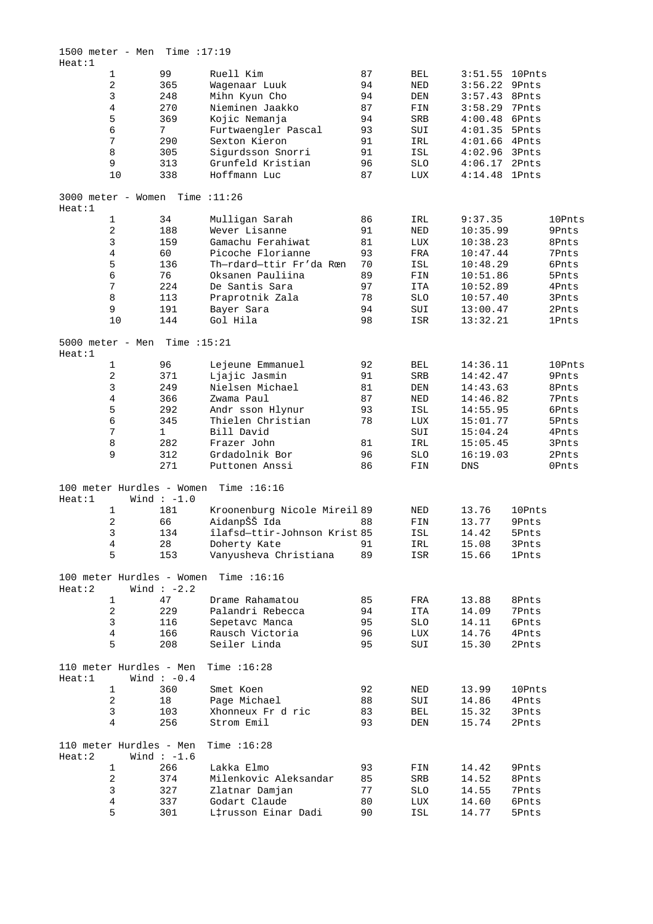| Heat:1 | $1500$ meter - Men Time : 17:19   |                 |                              |    |              |           |              |              |
|--------|-----------------------------------|-----------------|------------------------------|----|--------------|-----------|--------------|--------------|
|        | $\mathbf{1}$                      | 99              | Ruell Kim                    | 87 | BEL          | 3:51.55   | 10Pnts       |              |
|        | $\sqrt{2}$                        | 365             | Waqenaar Luuk                | 94 | NED          | 3:56.22   | 9Pnts        |              |
|        | 3                                 | 248             | Mihn Kyun Cho                | 94 | DEN          | 3:57.43   | 8Pnts        |              |
|        | 4                                 | 270             | Nieminen Jaakko              | 87 | FIN          | 3:58.29   | 7Pnts        |              |
|        |                                   |                 |                              |    |              |           |              |              |
|        | 5                                 | 369             | Kojic Nemanja                | 94 | SRB          | 4:00.48   | 6Pnts        |              |
|        | 6                                 | $7\overline{ }$ | Furtwaengler Pascal          | 93 | SUI          | 4:01.35   | 5Pnts        |              |
|        | 7                                 | 290             | Sexton Kieron                | 91 | IRL          | 4:01.66   | 4Pnts        |              |
|        | 8                                 | 305             | Sigurdsson Snorri            | 91 | ISL          | 4:02.96   | 3Pnts        |              |
|        | 9                                 | 313             | Grunfeld Kristian            | 96 | <b>SLO</b>   | 4:06.17   | 2Pnts        |              |
|        |                                   |                 |                              |    |              |           |              |              |
|        | 10                                | 338             | Hoffmann Luc                 | 87 | LUX          | 4:14.48   | <b>1Pnts</b> |              |
| Heat:1 | $3000$ meter - Women Time : 11:26 |                 |                              |    |              |           |              |              |
|        | $\mathbf 1$                       | 34              | Mulligan Sarah               | 86 | IRL          | 9:37.35   |              | 10Pnts       |
|        |                                   |                 |                              |    |              |           |              |              |
|        | $\sqrt{2}$                        | 188             | Wever Lisanne                | 91 | NED          | 10:35.99  |              | 9Pnts        |
|        | 3                                 | 159             | Gamachu Ferahiwat            | 81 | LUX          | 10:38.23  |              | 8Pnts        |
|        | 4                                 | 60              | Picoche Florianne            | 93 | FRA          | 10:47.44  |              | 7Pnts        |
|        | 5                                 | 136             | Th-rdard-ttir Fr'da Rœn      | 70 | ISL          | 10:48.29  |              | 6Pnts        |
|        | 6                                 | 76              | Oksanen Pauliina             | 89 | FIN          | 10:51.86  |              | 5Pnts        |
|        |                                   |                 |                              |    |              |           |              |              |
|        | 7                                 | 224             | De Santis Sara               | 97 | <b>ITA</b>   | 10:52.89  |              | 4Pnts        |
|        | 8                                 | 113             | Praprotnik Zala              | 78 | <b>SLO</b>   | 10:57.40  |              | 3Pnts        |
|        | 9                                 | 191             | Bayer Sara                   | 94 | SUI          | 13:00.47  |              | 2Pnts        |
|        | 10                                | 144             | Gol Hila                     | 98 | ISR          | 13:32.21  |              | <b>1Pnts</b> |
|        |                                   |                 |                              |    |              |           |              |              |
| Heat:1 | 5000 meter - Men Time $:15:21$    |                 |                              |    |              |           |              |              |
|        | $\mathbf 1$                       | 96              | Lejeune Emmanuel             | 92 | BEL          | 14:36.11  |              | 10Pnts       |
|        | $\overline{c}$                    | 371             | Ljajic Jasmin                | 91 | SRB          | 14:42.47  |              | 9Pnts        |
|        | 3                                 | 249             | Nielsen Michael              | 81 | DEN          | 14:43.63  |              | 8Pnts        |
|        | 4                                 | 366             | Zwama Paul                   | 87 | NED          | 14:46.82  |              | 7Pnts        |
|        |                                   |                 |                              |    |              |           |              |              |
|        | 5                                 | 292             | Andr sson Hlynur             | 93 | ISL          | 14:55.95  |              | 6Pnts        |
|        | 6                                 | 345             | Thielen Christian            | 78 | LUX          | 15:01.77  |              | 5Pnts        |
|        | 7                                 | $\mathbf{1}$    | Bill David                   |    | SUI          | 15:04.24  |              | 4Pnts        |
|        | 8                                 | 282             | Frazer John                  | 81 | IRL          | 15:05.45  |              | 3Pnts        |
|        | 9                                 | 312             | Grdadolnik Bor               | 96 | <b>SLO</b>   | 16:19.03  |              | 2Pnts        |
|        |                                   |                 |                              |    |              |           |              |              |
|        |                                   | 271             | Puttonen Anssi               | 86 | FIN          | DNS       |              | 0Pnts        |
| Heat:1 | 100 meter Hurdles - Women         | Wind $:-1.0$    | Time $:16:16$                |    |              |           |              |              |
|        |                                   | 181             | Kroonenburg Nicole Mireil 89 |    |              | 13.76     |              |              |
|        | 1                                 |                 |                              |    | NED          |           | 10Pnts       |              |
|        | 2                                 | 66              | AidanpŠŠ Ida                 | 88 | FIN          | 13.77     | 9Pnts        |              |
|        | $\mathsf 3$                       | 134             | îlafsd-ttir-Johnson Krist 85 |    | $_{\tt ISL}$ | $14.42\,$ | 5Pnts        |              |
|        | 4                                 | 28              | Doherty Kate                 | 91 | IRL          | 15.08     | 3Pnts        |              |
|        | 5                                 | 153             | Vanyusheva Christiana        | 89 | ISR          | 15.66     | <b>1Pnts</b> |              |
|        |                                   |                 |                              |    |              |           |              |              |
| Heat:2 | 100 meter Hurdles - Women         | Wind $:-2.2$    | Time $:16:16$                |    |              |           |              |              |
|        | 1                                 | 47              | Drame Rahamatou              | 85 | FRA          | 13.88     | 8Pnts        |              |
|        | $\sqrt{2}$                        | 229             | Palandri Rebecca             | 94 | ITA          | 14.09     | 7Pnts        |              |
|        | $\mathsf 3$                       | 116             | Sepetavc Manca               | 95 |              | 14.11     |              |              |
|        |                                   |                 |                              |    | <b>SLO</b>   |           | 6Pnts        |              |
|        | $\overline{4}$                    | 166             | Rausch Victoria              | 96 | LUX          | 14.76     | 4Pnts        |              |
|        | 5                                 | 208             | Seiler Linda                 | 95 | SUI          | 15.30     | 2Pnts        |              |
| Heat:1 | 110 meter Hurdles - Men           | Wind $:-0.4$    | Time $:16:28$                |    |              |           |              |              |
|        | $\mathbf{1}$                      | 360             | Smet Koen                    | 92 | $\rm{NED}$   | 13.99     | 10Pnts       |              |
|        | $\sqrt{2}$                        | 18              | Page Michael                 | 88 | SUI          | 14.86     | 4Pnts        |              |
|        |                                   |                 |                              |    |              |           |              |              |
|        | 3                                 | 103             | Xhonneux Fr d ric            | 83 | BEL          | 15.32     | 3Pnts        |              |
|        | 4                                 | 256             | Strom Emil                   | 93 | DEN          | 15.74     | 2Pnts        |              |
| Heat:2 | 110 meter Hurdles - Men           | Wind $:-1.6$    | Time $:16:28$                |    |              |           |              |              |
|        | 1                                 | 266             | Lakka Elmo                   | 93 | FIN          | 14.42     | 9Pnts        |              |
|        | $\sqrt{2}$                        | 374             | Milenkovic Aleksandar        | 85 | SRB          | 14.52     | 8Pnts        |              |
|        |                                   |                 |                              |    |              |           |              |              |
|        | 3                                 | 327             | Zlatnar Damjan               | 77 | <b>SLO</b>   | 14.55     | 7Pnts        |              |
|        | $\overline{4}$                    | 337             | Godart Claude                | 80 | LUX          | 14.60     | 6Pnts        |              |
|        | 5                                 | 301             | L‡russon Einar Dadi          | 90 | ISL          | 14.77     | 5Pnts        |              |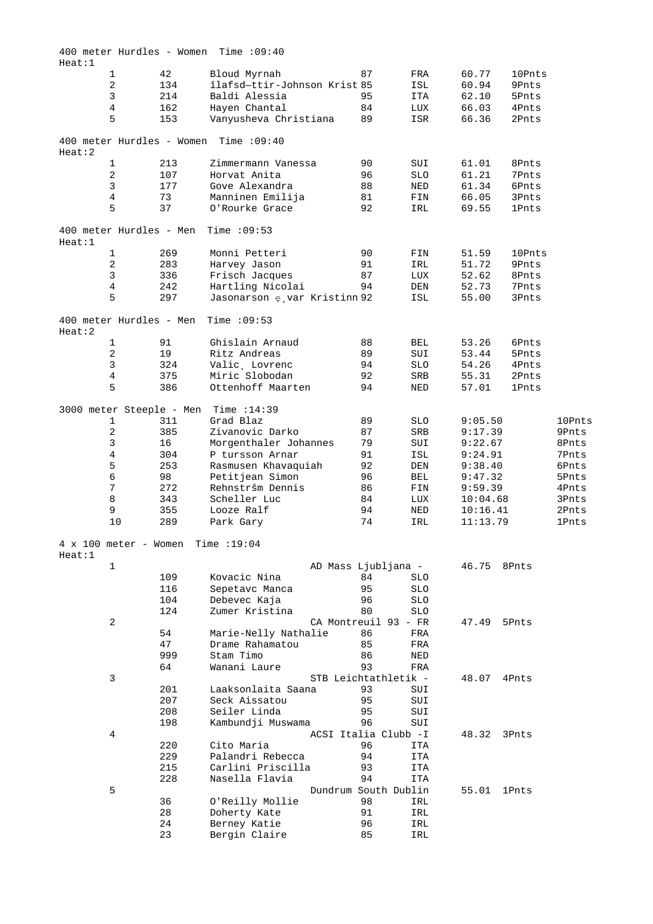| Heat:1                                              |     | $400$ meter Hurdles - Women Time : 09:40 |                            |            |          |              |        |
|-----------------------------------------------------|-----|------------------------------------------|----------------------------|------------|----------|--------------|--------|
| $\mathbf{1}$                                        | 42  | Bloud Myrnah                             | 87                         | FRA        | 60.77    | 10Pnts       |        |
| 2                                                   | 134 | îlafsd-ttir-Johnson Krist 85             |                            | ISL        | 60.94    | 9Pnts        |        |
| 3                                                   | 214 | Baldi Alessia                            | 95                         | ITA        | 62.10    | 5Pnts        |        |
| 4                                                   | 162 | Hayen Chantal                            | 84                         | LUX        | 66.03    | 4Pnts        |        |
| 5                                                   | 153 | Vanyusheva Christiana                    | 89                         | ISR        | 66.36    | 2Pnts        |        |
|                                                     |     | 400 meter Hurdles - Women Time : 09:40   |                            |            |          |              |        |
| Heat:2                                              |     |                                          |                            |            |          |              |        |
| $\mathbf{1}$                                        | 213 | Zimmermann Vanessa                       | 90                         | SUI        | 61.01    | 8Pnts        |        |
| 2                                                   | 107 | Horvat Anita                             | 96                         | <b>SLO</b> | 61.21    | 7Pnts        |        |
| 3                                                   | 177 | Gove Alexandra                           | 88                         | NED        | 61.34    | 6Pnts        |        |
| 4                                                   | 73  | Manninen Emilija                         | 81                         | FIN        | 66.05    | 3Pnts        |        |
| 5                                                   | 37  | O'Rourke Grace                           | 92                         | IRL        | 69.55    | <b>1Pnts</b> |        |
|                                                     |     |                                          |                            |            |          |              |        |
| 400 meter Hurdles - Men<br>Heat:1                   |     | Time $:09:53$                            |                            |            |          |              |        |
| $\mathbf{1}$                                        | 269 | Monni Petteri                            | 90                         | FIN        | 51.59    | 10Pnts       |        |
| 2                                                   | 283 | Harvey Jason                             | 91                         | IRL        | 51.72    | 9Pnts        |        |
| 3                                                   | 336 | Frisch Jacques                           | 87                         | LUX        | 52.62    | 8Pnts        |        |
| 4                                                   | 242 | Hartling Nicolai                         | 94                         | DEN        | 52.73    | 7Pnts        |        |
| 5                                                   | 297 |                                          |                            |            | 55.00    | 3Pnts        |        |
|                                                     |     | Jasonarson e var Kristinn 92             |                            | ISL        |          |              |        |
| 400 meter Hurdles - Men<br>Heat:2                   |     | Time $:09:53$                            |                            |            |          |              |        |
| $\mathbf{1}$                                        | 91  | Ghislain Arnaud                          | 88                         | <b>BEL</b> | 53.26    | 6Pnts        |        |
| 2                                                   | 19  | Ritz Andreas                             | 89                         | SUI        | 53.44    | 5Pnts        |        |
| 3                                                   |     |                                          |                            |            |          |              |        |
|                                                     | 324 | Valic, Lovrenc                           | 94                         | <b>SLO</b> | 54.26    | 4Pnts        |        |
| 4                                                   | 375 | Miric Slobodan                           | 92                         | SRB        | 55.31    | 2Pnts        |        |
| 5                                                   | 386 | Ottenhoff Maarten                        | 94                         | NED        | 57.01    | 1Pnts        |        |
| 3000 meter Steeple - Men                            |     | Time $:14:39$                            |                            |            |          |              |        |
| 1                                                   | 311 | Grad Blaz                                | 89                         | <b>SLO</b> | 9:05.50  |              | 10Pnts |
| 2                                                   | 385 | Zivanovic Darko                          | 87                         | SRB        | 9:17.39  |              | 9Pnts  |
| 3                                                   | 16  | Morgenthaler Johannes                    | 79                         | SUI        | 9:22.67  |              | 8Pnts  |
| 4                                                   | 304 | P tursson Arnar                          | 91                         | ISL        | 9:24.91  |              | 7Pnts  |
| 5                                                   | 253 | Rasmusen Khavaquiah                      | 92                         | DEN        | 9:38.40  |              | 6Pnts  |
| 6                                                   | 98  | Petitjean Simon                          | 96                         | BEL        |          |              | 5Pnts  |
|                                                     |     |                                          |                            |            | 9:47.32  |              |        |
| 7                                                   | 272 | Rehnstršm Dennis                         | 86                         | FIN        | 9:59.39  |              | 4Pnts  |
| 8                                                   | 343 | Scheller Luc                             | 84                         | LUX        | 10:04.68 |              | 3Pnts  |
| 9                                                   | 355 | Looze Ralf                               | 94                         | NED        | 10:16.41 |              | 2Pnts  |
| 10                                                  | 289 | Park Gary                                | 74                         | IRL        | 11:13.79 |              | 1Pnts  |
| $4 \times 100$ meter - Women Time : 19:04<br>Heat:1 |     |                                          |                            |            |          |              |        |
| $1\,$                                               |     |                                          |                            |            |          |              |        |
|                                                     |     |                                          | AD Mass Ljubljana -        |            | 46.75    | 8Pnts        |        |
|                                                     | 109 | Kovacic Nina                             | 84                         | <b>SLO</b> |          |              |        |
|                                                     | 116 | Sepetavc Manca                           | 95                         | <b>SLO</b> |          |              |        |
|                                                     | 104 | Debevec Kaja                             | 96                         | <b>SLO</b> |          |              |        |
|                                                     | 124 | Zumer Kristina                           | 80                         | SLO        |          |              |        |
| 2                                                   |     |                                          | CA Montreuil 93 - FR       |            | 47.49    | 5Pnts        |        |
|                                                     | 54  | Marie-Nelly Nathalie                     | 86                         | FRA        |          |              |        |
|                                                     |     |                                          |                            |            |          |              |        |
|                                                     | 47  | Drame Rahamatou                          | 85                         | FRA        |          |              |        |
|                                                     | 999 | Stam Timo                                | 86                         | NED        |          |              |        |
|                                                     | 64  | Wanani Laure                             | 93                         | FRA        |          |              |        |
| 3                                                   |     |                                          | STB Leichtathletik -       |            | 48.07    | 4Pnts        |        |
|                                                     | 201 | Laaksonlaita Saana                       | 93                         | SUI        |          |              |        |
|                                                     | 207 | Seck Aissatou                            | 95                         | SUI        |          |              |        |
|                                                     | 208 | Seiler Linda                             | 95                         |            |          |              |        |
|                                                     |     |                                          |                            | SUI        |          |              |        |
|                                                     | 198 | Kambundji Muswama                        | 96                         | SUI        |          |              |        |
| 4                                                   |     |                                          | ACSI Italia Clubb -I       |            | 48.32    | 3Pnts        |        |
|                                                     | 220 | Cito Maria                               | 96                         | <b>ITA</b> |          |              |        |
|                                                     | 229 | Palandri Rebecca                         | 94                         | ITA        |          |              |        |
|                                                     | 215 | Carlini Priscilla                        | 93                         | ITA        |          |              |        |
|                                                     |     |                                          |                            |            |          |              |        |
| 5                                                   | 228 | Nasella Flavia                           | 94<br>Dundrum South Dublin | ITA        |          |              |        |
|                                                     |     |                                          |                            |            | 55.01    | <b>1Pnts</b> |        |
|                                                     | 36  | O'Reilly Mollie                          | 98                         | IRL        |          |              |        |
|                                                     | 28  | Doherty Kate                             | 91                         | IRL        |          |              |        |
|                                                     | 24  | Berney Katie                             | 96                         | IRL        |          |              |        |
|                                                     | 23  | Bergin Claire                            | 85                         | IRL        |          |              |        |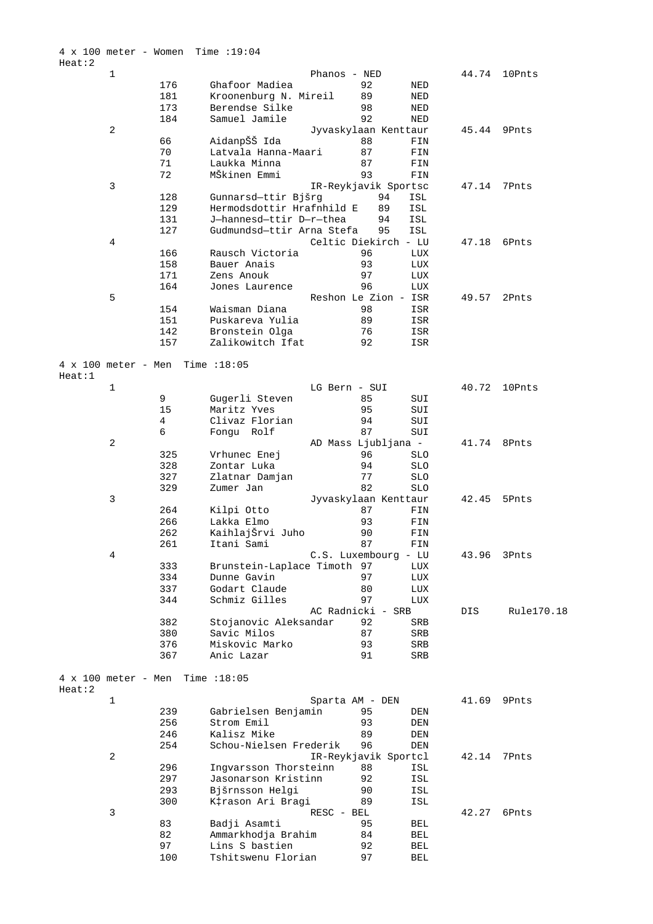4 x 100 meter - Women Time :19:04 Heat:2 1 Phanos - NED 44.74 10Pnts 176 Ghafoor Madiea 92 NED 181 Kroonenburg N. Mireil 89 NED 173 Berendse Silke 98 NED 184 Samuel Jamile 92 NED 2 Jyvaskylaan Kenttaur 45.44 9Pnts 66 AidanpŠŠ Ida 88 FIN 70 Latvala Hanna-Maari 87 FIN 71 Laukka Minna 87 FIN 72 MŠkinen Emmi 93 FIN 3 IR-Reykjavik Sportsc 47.14 7Pnts 128 Gunnarsd—ttir Bjšrg 94 ISL 129 Hermodsdottir Hrafnhild E 89 ISL 131 J—hannesd—ttir D—r—thea 94 ISL 127 Gudmundsd—ttir Arna Stefa 95 ISL 4 Celtic Diekirch - LU 47.18 6Pnts 166 Rausch Victoria 96 LUX 158 Bauer Anais 93 LUX 171 Zens Anouk 97 LUX 164 Jones Laurence 96 LUX 5 Reshon Le Zion - ISR 49.57 2Pnts<br>154 Waisman Diana 98 ISR 154 Waisman Diana 98 ISR 151 Puskareva Yulia 89 ISR 142 Bronstein Olga 76 ISR 157 Zalikowitch Ifat 92 ISR 4 x 100 meter - Men Time :18:05 Heat:1 1 LG Bern - SUI 40.72 10Pnts 9 Gugerli Steven 85 SUI 15 Maritz Yves 95 SUI<br>4 Clivaz Florian 94 SUI<br>5 Clivaz Portal 197 SUI 4 Clivaz Florian 94 SUI 5 Fongu Rolf 2 AD Mass Ljubljana - 41.74 8Pnts 325 Vrhunec Enej 96 SLO 328 Zontar Luka 94 SLO 327 Zlatnar Damjan 77 SLO 329 Zumer Jan 82 SLO 3 Jyvaskylaan Kenttaur 42.45 5Pnts 264 Kilpi Otto 87 FIN 266 Lakka Elmo 93 FIN 262 KaihlajŠrvi Juho 90 FIN 261 Itani Sami 87 FIN 4 C.S. Luxembourg - LU 43.96 3Pnts 333 Brunstein-Laplace Timoth 97 LUX 334 Dunne Gavin 97 LUX 337 Godart Claude 80 LUX 344 Schmiz Gilles 97 LUX AC Radnicki - SRB DIS Rule170.18 382 Stojanovic Aleksandar 92 SRB 380 Savic Milos 87 SRB 376 Miskovic Marko 93 SRB 367 Anic Lazar 91 SRB 4 x 100 meter - Men Time :18:05 Heat:2 1 Sparta AM - DEN 41.69 9Pnts 239 Gabrielsen Benjamin 95 DEN<br>256 Strom Emil 93 DEN<br>246 Kalisz Mike 89 DEN<br>254 Schou-Nielsen Frederik 89 DEN er<br>256 Strom Emil 93 DEN<br>246 Kalisz Mike 89 DEN 246 Kalisz Mike 89 DEN 254 Schou-Nielsen Frederik 96 DEN 2 IR-Reykjavik Sportcl 42.14 7Pnts 296 Ingvarsson Thorsteinn 88 ISL 297 Jasonarson Kristinn 92 ISL 293 Bjšrnsson Helgi 90 ISL 300 K‡rason Ari Bragi 89 ISL 3 RESC - BEL 42.27 6Pnts 83 Badji Asamti 95 BEL 82 Ammarkhodja Brahim 84 BEL 97 Lins S bastien 92 BEL 100 Tshitswenu Florian 97 BEL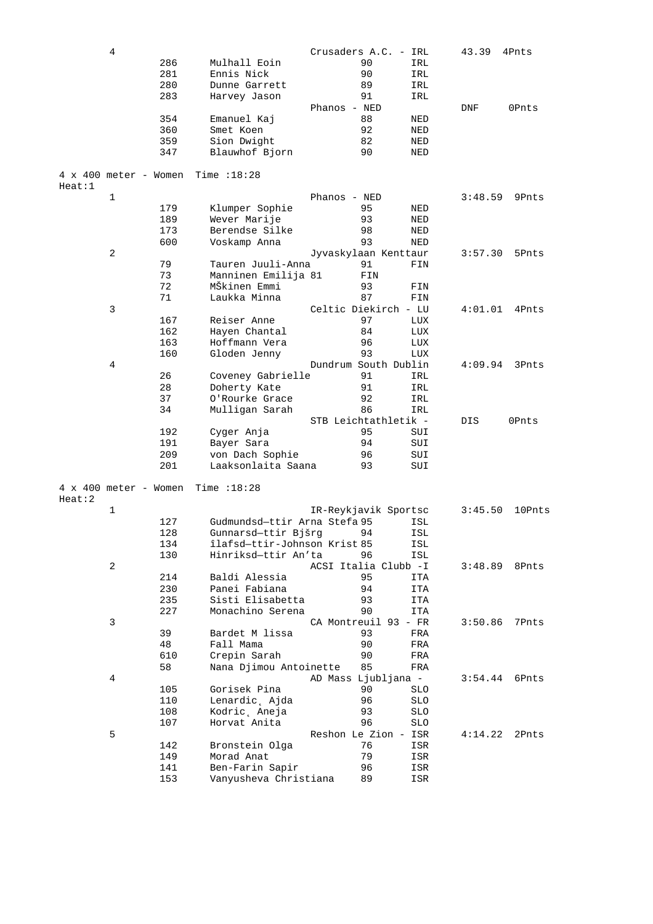|        | $\overline{4}$               |     |                              | Crusaders A.C. - IRL |            | 43.39   | 4Pnts  |
|--------|------------------------------|-----|------------------------------|----------------------|------------|---------|--------|
|        |                              | 286 | Mulhall Eoin                 | 90                   | IRL        |         |        |
|        |                              | 281 | Ennis Nick                   | 90                   | IRL        |         |        |
|        |                              | 280 | Dunne Garrett                | 89                   | IRL        |         |        |
|        |                              | 283 | Harvey Jason                 | 91                   | IRL        |         |        |
|        |                              |     |                              | Phanos - NED         |            | DNF     | 0Pnts  |
|        |                              | 354 |                              | 88                   |            |         |        |
|        |                              |     | Emanuel Kaj                  |                      | NED        |         |        |
|        |                              | 360 | Smet Koen                    | 92                   | NED        |         |        |
|        |                              | 359 | Sion Dwight                  | 82                   | NED        |         |        |
|        |                              | 347 | Blauwhof Bjorn               | 90                   | NED        |         |        |
|        | $4 \times 400$ meter - Women |     | Time $:18:28$                |                      |            |         |        |
| Heat:1 |                              |     |                              |                      |            |         |        |
|        | $\mathbf{1}$                 |     |                              | Phanos - NED         |            | 3:48.59 | 9Pnts  |
|        |                              | 179 | Klumper Sophie               | 95                   | NED        |         |        |
|        |                              |     |                              |                      |            |         |        |
|        |                              | 189 | Wever Marije                 | 93                   | NED        |         |        |
|        |                              | 173 | Berendse Silke               | 98                   | NED        |         |        |
|        |                              | 600 | Voskamp Anna                 | 93                   | NED        |         |        |
|        | 2                            |     |                              | Jyvaskylaan Kenttaur |            | 3:57.30 | 5Pnts  |
|        |                              | 79  | Tauren Juuli-Anna            | 91                   | FIN        |         |        |
|        |                              | 73  | Manninen Emilija 81          | FIN                  |            |         |        |
|        |                              | 72  | MŠkinen Emmi                 | 93                   | FIN        |         |        |
|        |                              | 71  | Laukka Minna                 | 87                   | FIN        |         |        |
|        | 3                            |     |                              | Celtic Diekirch - LU |            | 4:01.01 | 4Pnts  |
|        |                              | 167 | Reiser Anne                  | 97                   | LUX        |         |        |
|        |                              | 162 |                              |                      |            |         |        |
|        |                              |     | Hayen Chantal                | 84                   | LUX        |         |        |
|        |                              | 163 | Hoffmann Vera                | 96                   | LUX        |         |        |
|        |                              | 160 | Gloden Jenny                 | 93                   | LUX        |         |        |
|        | 4                            |     |                              | Dundrum South Dublin |            | 4:09.94 | 3Pnts  |
|        |                              | 26  | Coveney Gabrielle            | 91                   | IRL        |         |        |
|        |                              | 28  | Doherty Kate                 | 91                   | IRL        |         |        |
|        |                              | 37  | O'Rourke Grace               | 92                   | IRL        |         |        |
|        |                              | 34  | Mulligan Sarah               | 86                   | IRL        |         |        |
|        |                              |     |                              | STB Leichtathletik - |            | DIS     | 0Pnts  |
|        |                              | 192 | Cyger Anja                   | 95                   | SUI        |         |        |
|        |                              | 191 | Bayer Sara                   | 94                   | SUI        |         |        |
|        |                              |     |                              |                      |            |         |        |
|        |                              | 209 | von Dach Sophie              | 96                   | SUI        |         |        |
|        |                              | 201 | Laaksonlaita Saana           | 93                   | SUI        |         |        |
|        | $4 \times 400$ meter - Women |     | Time $:18:28$                |                      |            |         |        |
| Heat:2 |                              |     |                              |                      |            |         |        |
|        | $\mathbf{1}$                 |     |                              | IR-Reykjavik Sportsc |            | 3:45.50 | 10Pnts |
|        |                              | 127 | Gudmundsd-ttir Arna Stefa 95 |                      | ISL        |         |        |
|        |                              | 128 | Gunnarsd-ttir Bjšrg          | 94                   | ISL        |         |        |
|        |                              | 134 | îlafsd-ttir-Johnson Krist 85 |                      | ISL        |         |        |
|        |                              | 130 | Hinriksd-ttir An'ta          | 96                   | ISL        |         |        |
|        | 2                            |     |                              | ACSI Italia Clubb -I |            |         |        |
|        |                              |     |                              |                      |            | 3:48.89 | 8Pnts  |
|        |                              | 214 | Baldi Alessia                | 95                   | ITA        |         |        |
|        |                              | 230 | Panei Fabiana                | 94                   | ITA        |         |        |
|        |                              | 235 | Sisti Elisabetta             | 93                   | ITA        |         |        |
|        |                              | 227 | Monachino Serena             | 90                   | <b>ITA</b> |         |        |
|        | 3                            |     |                              | CA Montreuil 93 - FR |            | 3:50.86 | 7Pnts  |
|        |                              | 39  | Bardet M lissa               | 93                   | FRA        |         |        |
|        |                              | 48  | Fall Mama                    | 90                   | FRA        |         |        |
|        |                              | 610 | Crepin Sarah                 | 90                   | FRA        |         |        |
|        |                              | 58  | Nana Djimou Antoinette       | 85                   | FRA        |         |        |
|        | 4                            |     |                              | AD Mass Ljubljana -  |            | 3:54.44 | 6Pnts  |
|        |                              |     |                              |                      |            |         |        |
|        |                              | 105 | Gorisek Pina                 | 90                   | <b>SLO</b> |         |        |
|        |                              | 110 | Lenardic, Ajda               | 96                   | <b>SLO</b> |         |        |
|        |                              | 108 | Kodric, Aneja                | 93                   | <b>SLO</b> |         |        |
|        |                              | 107 | Horvat Anita                 | 96                   | SLO        |         |        |
|        | 5                            |     |                              | Reshon Le Zion - ISR |            | 4:14.22 | 2Pnts  |
|        |                              | 142 | Bronstein Olga               | 76                   | ISR        |         |        |
|        |                              | 149 | Morad Anat                   | 79                   | ISR        |         |        |
|        |                              | 141 | Ben-Farin Sapir              | 96                   | ISR        |         |        |
|        |                              | 153 | Vanyusheva Christiana        | 89                   | ISR        |         |        |
|        |                              |     |                              |                      |            |         |        |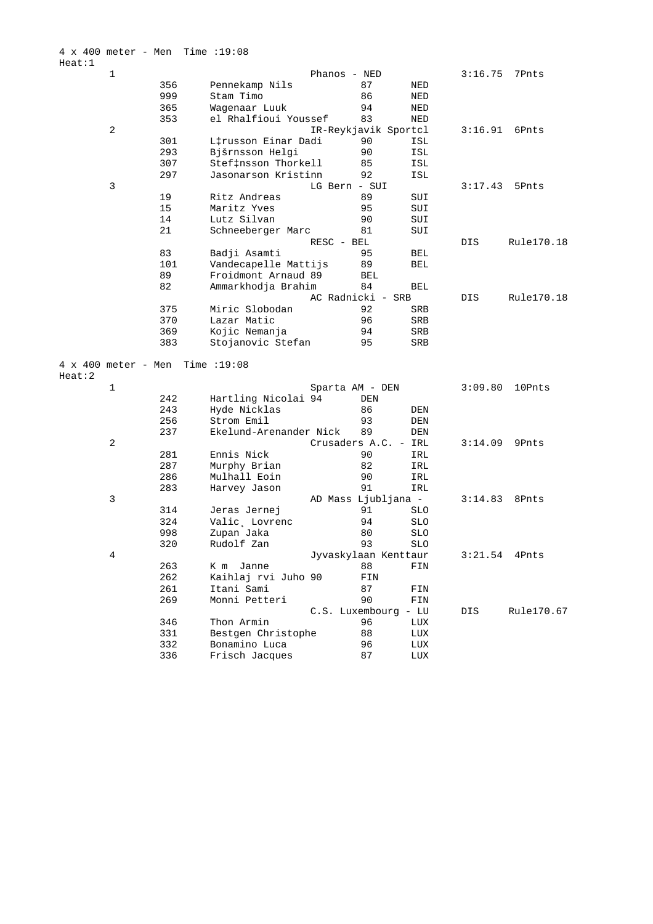|                                      | 1              |     |                        | Phanos - NED         |            | 3:16.75 | 7Pnts      |
|--------------------------------------|----------------|-----|------------------------|----------------------|------------|---------|------------|
|                                      |                | 356 | Pennekamp Nils         | 87                   | NED        |         |            |
|                                      |                | 999 | Stam Timo              | 86                   | NED        |         |            |
|                                      |                | 365 | Wagenaar Luuk          | 94                   | NED        |         |            |
|                                      |                | 353 | el Rhalfioui Youssef   | 83                   | NED        |         |            |
|                                      | $\overline{a}$ |     |                        | IR-Reykjavik Sportcl |            | 3:16.91 | 6Pnts      |
|                                      |                | 301 | L‡russon Einar Dadi    | 90                   | ISL        |         |            |
|                                      |                | 293 | Bjšrnsson Helgi        | 90                   | ISL        |         |            |
|                                      |                | 307 | Stef‡nsson Thorkell    | 85                   | ISL        |         |            |
|                                      |                | 297 | Jasonarson Kristinn    | 92                   | ISL        |         |            |
|                                      | 3              |     |                        | LG Bern - SUI        |            | 3:17.43 | 5Pnts      |
|                                      |                | 19  | Ritz Andreas           | 89                   | SUI        |         |            |
|                                      |                | 15  | Maritz Yves            | 95                   | SUI        |         |            |
|                                      |                | 14  | Lutz Silvan            | 90                   | SUI        |         |            |
|                                      |                | 21  | Schneeberger Marc      | 81                   | SUI        |         |            |
|                                      |                |     |                        | RESC - BEL           |            | DIS     | Rule170.18 |
|                                      |                | 83  | Badji Asamti           | 95                   | BEL        |         |            |
|                                      |                | 101 | Vandecapelle Mattijs   | 89                   | BEL        |         |            |
|                                      |                | 89  | Froidmont Arnaud 89    | BEL                  |            |         |            |
|                                      |                | 82  | Ammarkhodja Brahim     | 84                   | <b>BEL</b> |         |            |
|                                      |                |     |                        | AC Radnicki - SRB    |            | DIS     | Rule170.18 |
|                                      |                | 375 | Miric Slobodan         | 92                   | <b>SRB</b> |         |            |
|                                      |                | 370 | Lazar Matic            | 96                   | SRB        |         |            |
|                                      |                | 369 | Kojic Nemanja          | 94                   | SRB        |         |            |
|                                      |                | 383 | Stojanovic Stefan      | 95                   | SRB        |         |            |
|                                      |                |     |                        |                      |            |         |            |
| $4 \times 400$ meter - Men<br>Heat:2 |                |     | Time $:19:08$          |                      |            |         |            |
|                                      | 1              |     |                        | Sparta AM - DEN      |            | 3:09.80 | 10Pnts     |
|                                      |                | 242 | Hartling Nicolai 94    | DEN                  |            |         |            |
|                                      |                | 243 | Hyde Nicklas           | 86                   | DEN        |         |            |
|                                      |                | 256 | Strom Emil             | 93                   | DEN        |         |            |
|                                      |                | 237 | Ekelund-Arenander Nick | 89                   | DEN        |         |            |
|                                      | 2              |     |                        | Crusaders A.C. - IRL |            | 3:14.09 | 9Pnts      |
|                                      |                | 281 | Ennis Nick             | 90                   | IRL        |         |            |
|                                      |                | 287 | Murphy Brian           | 82                   | IRL        |         |            |
|                                      |                | 286 | Mulhall Eoin           | 90                   | IRL        |         |            |
|                                      |                | 283 | Harvey Jason           | 91                   | IRL        |         |            |
|                                      | 3              |     |                        | AD Mass Ljubljana -  |            | 3:14.83 | 8Pnts      |
|                                      |                | 314 | Jeras Jernej           | 91                   | <b>SLO</b> |         |            |
|                                      |                | 324 | Valic, Lovrenc         | 94                   | <b>SLO</b> |         |            |
|                                      |                | 998 | Zupan Jaka             | 80                   | <b>SLO</b> |         |            |
|                                      |                | 320 | Rudolf Zan             | 93                   | <b>SLO</b> |         |            |
|                                      | 4              |     |                        | Jyvaskylaan Kenttaur |            | 3:21.54 | 4Pnts      |
|                                      |                | 263 | K m<br>Janne           | 88                   | FIN        |         |            |
|                                      |                | 262 | Kaihlaj rvi Juho 90    | FIN                  |            |         |            |
|                                      |                | 261 | Itani Sami             | 87                   | FIN        |         |            |
|                                      |                | 269 | Monni Petteri          | 90                   |            |         |            |
|                                      |                |     |                        |                      | FIN        |         |            |
|                                      |                |     |                        | C.S. Luxembourg - LU |            | DIS     | Rule170.67 |
|                                      |                | 346 | Thon Armin             | 96                   | LUX        |         |            |
|                                      |                | 331 | Bestgen Christophe     | 88                   | LUX        |         |            |
|                                      |                | 332 | Bonamino Luca          | 96                   | LUX        |         |            |
|                                      |                | 336 | Frisch Jacques         | 87                   | LUX        |         |            |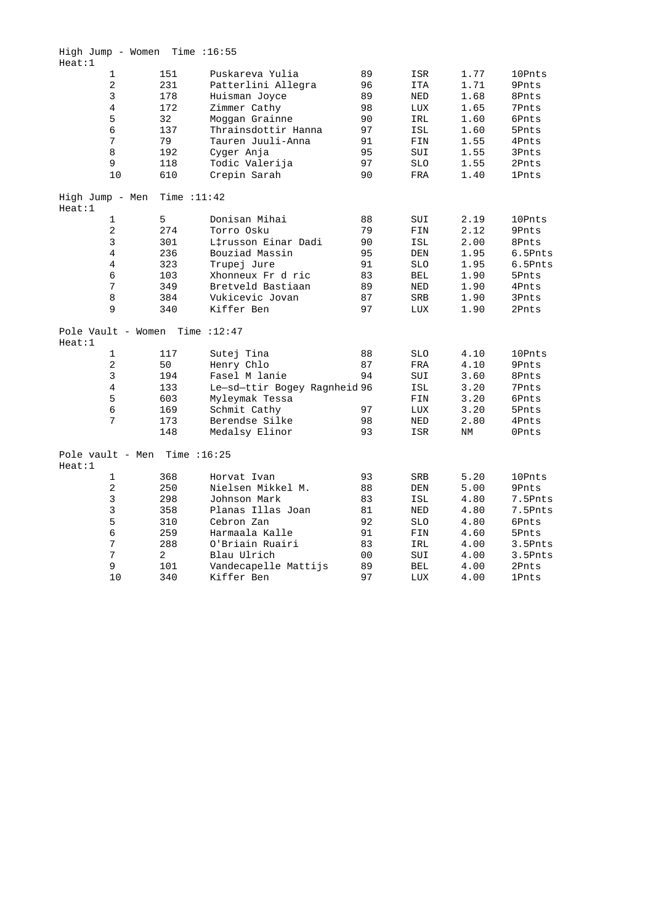|        | High Jump - Women Time : $16:55$ |               |                              |                |            |           |              |
|--------|----------------------------------|---------------|------------------------------|----------------|------------|-----------|--------------|
| Heat:1 |                                  |               |                              |                |            |           |              |
|        | $\mathbf{1}$                     | 151           | Puskareva Yulia              | 89             | ISR        | 1.77      | 10Pnts       |
|        | 2                                | 231           | Patterlini Allegra           | 96             | <b>ITA</b> | 1.71      | 9Pnts        |
|        | 3                                | 178           | Huisman Joyce                | 89             | <b>NED</b> | 1.68      | 8Pnts        |
|        | $\overline{4}$                   | 172           | Zimmer Cathy                 | 98             | LUX        | 1.65      | 7Pnts        |
|        | 5                                | 32            | Moggan Grainne               | 90             | IRL        | 1.60      | 6Pnts        |
|        | 6                                | 137           | Thrainsdottir Hanna          | 97             | ISL        | 1.60      | 5Pnts        |
|        | 7                                | 79            | Tauren Juuli-Anna            | 91             | FIN        | 1.55      | 4Pnts        |
|        | 8                                | 192           | Cyger Anja                   | 95             | SUI        | 1.55      | 3Pnts        |
|        | 9                                | 118           | Todic Valerija               | 97             | <b>SLO</b> | 1.55      | 2Pnts        |
|        | 10                               | 610           | Crepin Sarah                 | 90             | FRA        | 1.40      | <b>1Pnts</b> |
| Heat:1 | High Jump - Men                  | Time $:11:42$ |                              |                |            |           |              |
|        | $\mathbf{1}$                     | 5             | Donisan Mihai                | 88             | SUI        | 2.19      | 10Pnts       |
|        | $\overline{2}$                   | 274           | Torro Osku                   | 79             | FIN        | 2.12      | 9Pnts        |
|        | 3                                | 301           | L‡russon Einar Dadi          | 90             | ISL        | 2.00      | 8Pnts        |
|        | $\overline{4}$                   | 236           | Bouziad Massin               | 95             | DEN        | 1.95      | 6.5Pnts      |
|        | 4                                | 323           | Trupej Jure                  | 91             | <b>SLO</b> | 1.95      | 6.5Pnts      |
|        | 6                                | 103           | Xhonneux Fr d ric            | 83             | <b>BEL</b> | 1.90      | 5Pnts        |
|        | $\overline{7}$                   | 349           | Bretveld Bastiaan            | 89             | <b>NED</b> | 1.90      | 4Pnts        |
|        | 8                                | 384           | Vukicevic Jovan              | 87             | SRB        | 1.90      | 3Pnts        |
|        | 9                                | 340           | Kiffer Ben                   | 97             | <b>LUX</b> | 1.90      | 2Pnts        |
| Heat:1 | Pole Vault - Women Time $:12:47$ |               |                              |                |            |           |              |
|        | $\mathbf{1}$                     | 117           | Sutej Tina                   | 88             | <b>SLO</b> | 4.10      | 10Pnts       |
|        | $\overline{c}$                   | 50            | Henry Chlo                   | 87             | <b>FRA</b> | 4.10      | 9Pnts        |
|        | 3                                | 194           | Fasel M lanie                | 94             | SUI        | 3.60      | 8Pnts        |
|        | $\overline{4}$                   | 133           | Le-sd-ttir Bogey Ragnheid 96 |                | ISL        | 3.20      | 7Pnts        |
|        | 5                                | 603           | Myleymak Tessa               |                | FIN        | 3.20      | 6Pnts        |
|        | 6                                | 169           | Schmit Cathy                 | 97             | LUX        | 3.20      | 5Pnts        |
|        | 7                                | 173           | Berendse Silke               | 98             | NED        | 2.80      | 4Pnts        |
|        |                                  | 148           | Medalsy Elinor               | 93             | ISR        | $\rm{NM}$ | OPnts        |
| Heat:1 | Pole vault - Men Time : 16:25    |               |                              |                |            |           |              |
|        | $\mathbf{1}$                     | 368           | Horvat Ivan                  | 93             | SRB        | 5.20      | 10Pnts       |
|        | 2                                | 250           | Nielsen Mikkel M.            | 88             | DEN        | 5.00      | 9Pnts        |
|        | 3                                | 298           | Johnson Mark                 | 83             | ISL        | 4.80      | 7.5Pnts      |
|        | 3                                | 358           | Planas Illas Joan            | 81             | <b>NED</b> | 4.80      | 7.5Pnts      |
|        | 5                                | 310           | Cebron Zan                   | 92             | <b>SLO</b> | 4.80      | 6Pnts        |
|        | 6                                | 259           | Harmaala Kalle               | 91             | FIN        | 4.60      | 5Pnts        |
|        | 7                                | 288           | O'Briain Ruairi              | 83             | IRL        | 4.00      | 3.5Pnts      |
|        | 7                                | 2             | Blau Ulrich                  | 0 <sub>0</sub> | SUI        | 4.00      | 3.5Pnts      |
|        | 9                                | 101           | Vandecapelle Mattijs         | 89             | <b>BEL</b> | 4.00      | 2Pnts        |
|        | 10                               | 340           | Kiffer Ben                   | 97             | LUX        | 4.00      | 1Pnts        |
|        |                                  |               |                              |                |            |           |              |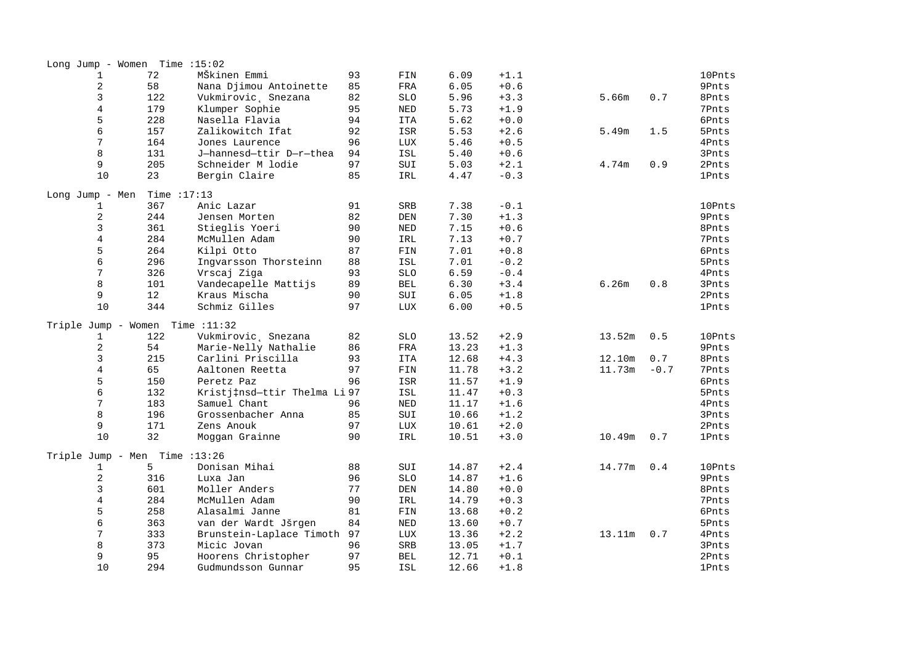|                          | Long Jump - Women Time $:15:02$ |                                      |          |            |       |        |        |        |              |
|--------------------------|---------------------------------|--------------------------------------|----------|------------|-------|--------|--------|--------|--------------|
| $\mathbf 1$              | 72                              | MŠkinen Emmi                         | 93       | FIN        | 6.09  | $+1.1$ |        |        | 10Pnts       |
| $\overline{2}$           | 58                              | Nana Djimou Antoinette               | 85       | <b>FRA</b> | 6.05  | $+0.6$ |        |        | 9Pnts        |
| 3                        | 122                             | Vukmirovic, Snezana                  | 82       | <b>SLO</b> | 5.96  | $+3.3$ | 5.66m  | 0.7    | 8Pnts        |
| $\overline{4}$           | 179                             | Klumper Sophie                       | 95       | NED        | 5.73  | $+1.9$ |        |        | 7Pnts        |
| 5                        | 228                             | Nasella Flavia                       | 94       | <b>ITA</b> | 5.62  | $+0.0$ |        |        | 6Pnts        |
| 6                        | 157                             | Zalikowitch Ifat                     | 92       | ISR        | 5.53  | $+2.6$ | 5.49m  | 1.5    | 5Pnts        |
| 7                        | 164                             | Jones Laurence                       | 96       | LUX        | 5.46  | $+0.5$ |        |        | 4Pnts        |
| 8                        | 131                             | J-hannesd-ttir D-r-thea              | 94       | ISL        | 5.40  | $+0.6$ |        |        | 3Pnts        |
| 9                        | 205                             | Schneider M lodie                    | 97       | SUI        | 5.03  | $+2.1$ | 4.74m  | 0.9    | 2Pnts        |
| 10                       | 23                              | Bergin Claire                        | 85       | IRL        | 4.47  | $-0.3$ |        |        | <b>1Pnts</b> |
| Long Jump - Men          | Time $:17:13$                   |                                      |          |            |       |        |        |        |              |
| 1                        | 367                             | Anic Lazar                           | 91       | <b>SRB</b> | 7.38  | $-0.1$ |        |        | 10Pnts       |
| $\overline{2}$           | 244                             | Jensen Morten                        | 82       | DEN        | 7.30  | $+1.3$ |        |        | 9Pnts        |
| 3                        | 361                             | Stieglis Yoeri                       | 90       | $\rm NED$  | 7.15  | $+0.6$ |        |        | 8Pnts        |
| $\bf 4$                  | 284                             | McMullen Adam                        | 90       | IRL        | 7.13  | $+0.7$ |        |        | 7Pnts        |
| 5                        | 264                             | Kilpi Otto                           | 87       | FIN        | 7.01  | $+0.8$ |        |        | 6Pnts        |
| 6                        | 296                             | Ingvarsson Thorsteinn                | 88       | ISL        | 7.01  | $-0.2$ |        |        | 5Pnts        |
| 7                        | 326                             | Vrscaj Ziga                          | 93       | <b>SLO</b> | 6.59  | $-0.4$ |        |        | 4Pnts        |
| 8                        | 101                             | Vandecapelle Mattijs                 | 89       | <b>BEL</b> | 6.30  | $+3.4$ | 6.26m  | 0.8    | 3Pnts        |
| 9                        | 12                              | Kraus Mischa                         | 90       | SUI        | 6.05  | $+1.8$ |        |        | 2Pnts        |
| 10                       | 344                             | Schmiz Gilles                        | 97       | LUX        | 6.00  | $+0.5$ |        |        | <b>1Pnts</b> |
|                          |                                 |                                      |          |            |       |        |        |        |              |
| Triple Jump - Women<br>1 | 122                             | Time $:11:32$<br>Vukmirovic, Snezana | 82       | <b>SLO</b> | 13.52 | $+2.9$ | 13.52m | 0.5    | 10Pnts       |
| $\overline{a}$           | 54                              | Marie-Nelly Nathalie                 | 86       | FRA        | 13.23 | $+1.3$ |        |        | 9Pnts        |
| 3                        | 215                             | Carlini Priscilla                    | 93       | <b>ITA</b> | 12.68 | $+4.3$ | 12.10m | 0.7    | 8Pnts        |
| $\bf 4$                  | 65                              | Aaltonen Reetta                      | 97       | FIN        | 11.78 | $+3.2$ | 11.73m | $-0.7$ | 7Pnts        |
| 5                        | 150                             | Peretz Paz                           | 96       | ISR        | 11.57 | $+1.9$ |        |        | 6Pnts        |
| 6                        |                                 |                                      |          |            |       |        |        |        |              |
| 7                        | 132                             | Kristj‡nsd-ttir Thelma Li 97         |          | ISL        | 11.47 | $+0.3$ |        |        | 5Pnts        |
|                          | 183                             | Samuel Chant                         | 96       | $\rm NED$  | 11.17 | $+1.6$ |        |        | 4Pnts        |
| 8                        | 196                             | Grossenbacher Anna                   | 85       | SUI        | 10.66 | $+1.2$ |        |        | 3Pnts        |
| 9<br>10                  | 171<br>32                       | Zens Anouk                           | 97<br>90 | LUX        | 10.61 | $+2.0$ |        |        | 2Pnts        |
|                          |                                 | Moggan Grainne                       |          | IRL        | 10.51 | $+3.0$ | 10.49m | 0.7    | <b>1Pnts</b> |
|                          | Triple Jump - Men Time : 13:26  |                                      |          |            |       |        |        |        |              |
| $\mathbf{1}$             | 5                               | Donisan Mihai                        | 88       | SUI        | 14.87 | $+2.4$ | 14.77m | 0.4    | 10Pnts       |
| $\boldsymbol{2}$         | 316                             | Luxa Jan                             | 96       | <b>SLO</b> | 14.87 | $+1.6$ |        |        | 9Pnts        |
| 3                        | 601                             | Moller Anders                        | 77       | $\rm{DEN}$ | 14.80 | $+0.0$ |        |        | 8Pnts        |
| $\overline{4}$           | 284                             | McMullen Adam                        | 90       | IRL        | 14.79 | $+0.3$ |        |        | 7Pnts        |
| 5                        | 258                             | Alasalmi Janne                       | 81       | FIN        | 13.68 | $+0.2$ |        |        | 6Pnts        |
| 6                        | 363                             | van der Wardt Jšrgen                 | 84       | NED        | 13.60 | $+0.7$ |        |        | 5Pnts        |
| 7                        | 333                             | Brunstein-Laplace Timoth             | 97       | LUX        | 13.36 | $+2.2$ | 13.11m | 0.7    | 4Pnts        |
| 8                        | 373                             | Micic Jovan                          | 96       | SRB        | 13.05 | $+1.7$ |        |        | 3Pnts        |
| 9                        | 95                              | Hoorens Christopher                  | 97       | <b>BEL</b> | 12.71 | $+0.1$ |        |        | 2Pnts        |
| 10                       | 294                             | Gudmundsson Gunnar                   | 95       | ISL        | 12.66 | $+1.8$ |        |        | <b>1Pnts</b> |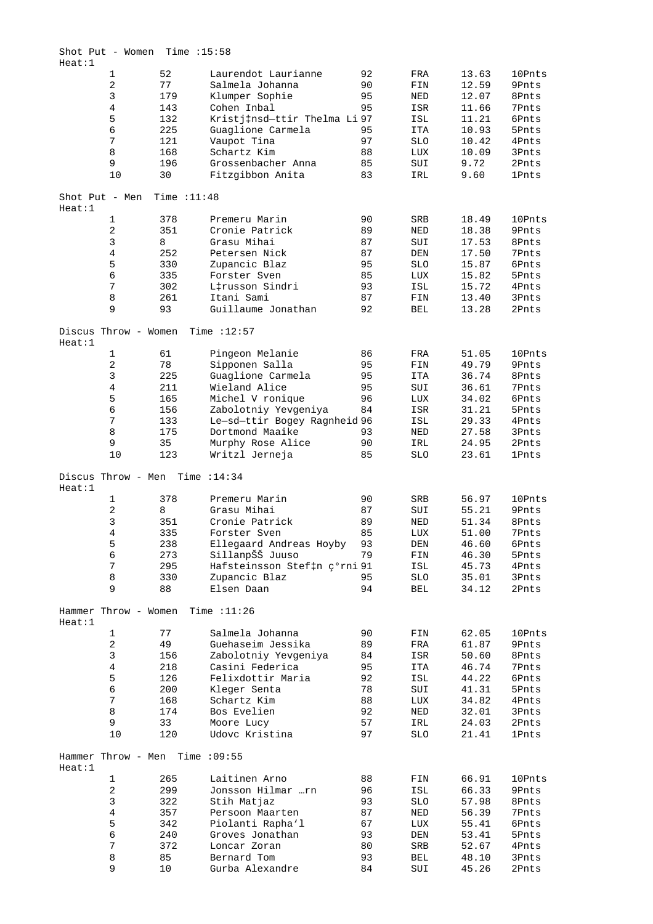| Heat:1 | Shot Put - Women     |     | Time $:15:58$ |                              |    |            |       |              |
|--------|----------------------|-----|---------------|------------------------------|----|------------|-------|--------------|
|        | $\mathbf{1}$         | 52  |               | Laurendot Laurianne          | 92 | FRA        | 13.63 | 10Pnts       |
|        | 2                    | 77  |               | Salmela Johanna              | 90 | FIN        | 12.59 | 9Pnts        |
|        | 3                    | 179 |               | Klumper Sophie               | 95 | NED        | 12.07 | 8Pnts        |
|        | 4                    | 143 |               | Cohen Inbal                  | 95 | ISR        | 11.66 | 7Pnts        |
|        |                      | 132 |               | Kristj‡nsd-ttir Thelma Li 97 |    |            |       |              |
|        | 5                    |     |               |                              |    | ISL        | 11.21 | 6Pnts        |
|        | б                    | 225 |               | Guaglione Carmela            | 95 | <b>ITA</b> | 10.93 | 5Pnts        |
|        | 7                    | 121 |               | Vaupot Tina                  | 97 | <b>SLO</b> | 10.42 | 4Pnts        |
|        | 8                    | 168 |               | Schartz Kim                  | 88 | LUX        | 10.09 | 3Pnts        |
|        | 9                    | 196 |               | Grossenbacher Anna           | 85 | SUI        | 9.72  | 2Pnts        |
|        | 10                   | 30  |               | Fitzgibbon Anita             | 83 | IRL        | 9.60  | <b>1Pnts</b> |
|        |                      |     |               |                              |    |            |       |              |
|        | Shot Put - Men       |     | Time $:11:48$ |                              |    |            |       |              |
| Heat:1 |                      |     |               |                              |    |            |       |              |
|        | $\mathbf 1$          | 378 |               | Premeru Marin                | 90 | <b>SRB</b> | 18.49 | 10Pnts       |
|        | 2                    | 351 |               | Cronie Patrick               | 89 | NED        | 18.38 | 9Pnts        |
|        | 3                    | 8   |               | Grasu Mihai                  | 87 | SUI        | 17.53 | 8Pnts        |
|        | 4                    | 252 |               | Petersen Nick                | 87 | DEN        | 17.50 | 7Pnts        |
|        | 5                    | 330 |               | Zupancic Blaz                | 95 | <b>SLO</b> | 15.87 | 6Pnts        |
|        | б                    | 335 |               | Forster Sven                 | 85 | LUX        | 15.82 | 5Pnts        |
|        |                      |     |               |                              |    |            |       |              |
|        | 7                    | 302 |               | L‡russon Sindri              | 93 | ISL        | 15.72 | 4Pnts        |
|        | 8                    | 261 |               | Itani Sami                   | 87 | FIN        | 13.40 | 3Pnts        |
|        | 9                    | 93  |               | Guillaume Jonathan           | 92 | BEL        | 13.28 | 2Pnts        |
|        | Discus Throw - Women |     |               | Time $:12:57$                |    |            |       |              |
| Heat:1 |                      |     |               |                              |    |            |       |              |
|        | 1                    | 61  |               | Pingeon Melanie              | 86 | FRA        | 51.05 | 10Pnts       |
|        | 2                    | 78  |               | Sipponen Salla               | 95 | FIN        | 49.79 | 9Pnts        |
|        | 3                    | 225 |               | Guaglione Carmela            | 95 | <b>ITA</b> | 36.74 | 8Pnts        |
|        |                      |     |               |                              |    |            |       |              |
|        | 4                    | 211 |               | Wieland Alice                | 95 | SUI        | 36.61 | 7Pnts        |
|        | 5                    | 165 |               | Michel V ronique             | 96 | LUX        | 34.02 | 6Pnts        |
|        | б                    | 156 |               | Zabolotniy Yevgeniya         | 84 | ISR        | 31.21 | 5Pnts        |
|        | 7                    | 133 |               | Le-sd-ttir Bogey Ragnheid 96 |    | ISL        | 29.33 | 4Pnts        |
|        | 8                    | 175 |               | Dortmond Maaike              | 93 | NED        | 27.58 | 3Pnts        |
|        | 9                    | 35  |               | Murphy Rose Alice            | 90 | IRL        | 24.95 | 2Pnts        |
|        | 10                   | 123 |               |                              | 85 | SLO        |       | <b>1Pnts</b> |
|        |                      |     |               | Writzl Jerneja               |    |            | 23.61 |              |
| Heat:1 | Discus Throw - Men   |     |               | Time $:14:34$                |    |            |       |              |
|        | $\mathbf 1$          | 378 |               | Premeru Marin                | 90 | SRB        | 56.97 | 10Pnts       |
|        |                      |     |               | Grasu Mihai                  |    |            |       |              |
|        | 2                    | 8   |               |                              | 87 | SUI        | 55.21 | 9Pnts        |
|        | 3                    | 351 |               | Cronie Patrick               | 89 | NED        | 51.34 | 8Pnts        |
|        | 4                    | 335 |               | Forster Sven                 | 85 | LUX        | 51.00 | 7Pnts        |
|        | 5                    | 238 |               | Ellegaard Andreas Hoyby      | 93 | DEN        | 46.60 | 6Pnts        |
|        | б                    | 273 |               | SillanpŠŠ Juuso              | 79 | FIN        | 46.30 | 5Pnts        |
|        | 7                    | 295 |               | Hafsteinsson Stef‡n ç°rni 91 |    | ISL        | 45.73 | 4Pnts        |
|        | 8                    | 330 |               | Zupancic Blaz                | 95 | SLO        | 35.01 | 3Pnts        |
|        | 9                    | 88  |               | Elsen Daan                   | 94 |            |       | 2Pnts        |
|        |                      |     |               |                              |    | BEL        | 34.12 |              |
| Heat:1 | Hammer Throw - Women |     |               | Time $:11:26$                |    |            |       |              |
|        | $\mathbf{1}$         | 77  |               | Salmela Johanna              | 90 | FIN        | 62.05 | 10Pnts       |
|        |                      |     |               |                              |    |            |       |              |
|        | $\overline{c}$       | 49  |               | Guehaseim Jessika            | 89 | FRA        | 61.87 | 9Pnts        |
|        | 3                    | 156 |               | Zabolotniy Yevgeniya         | 84 | ISR        | 50.60 | 8Pnts        |
|        | $\overline{4}$       | 218 |               | Casini Federica              | 95 | ITA        | 46.74 | 7Pnts        |
|        | 5                    | 126 |               | Felixdottir Maria            | 92 | ISL        | 44.22 | 6Pnts        |
|        | 6                    | 200 |               | Kleger Senta                 | 78 | SUI        | 41.31 | 5Pnts        |
|        | 7                    | 168 |               | Schartz Kim                  | 88 | LUX        | 34.82 | 4Pnts        |
|        | 8                    | 174 |               | Bos Evelien                  | 92 |            | 32.01 |              |
|        |                      |     |               |                              |    | NED        |       | 3Pnts        |
|        | 9                    | 33  |               | Moore Lucy                   | 57 | IRL        | 24.03 | 2Pnts        |
|        | 10                   | 120 |               | Udovc Kristina               | 97 | SLO        | 21.41 | <b>1Pnts</b> |
|        |                      |     |               |                              |    |            |       |              |
| Heat:1 | Hammer Throw - Men   |     |               | Time : 09:55                 |    |            |       |              |
|        | $\mathbf{1}$         | 265 |               | Laitinen Arno                | 88 | FIN        | 66.91 | 10Pnts       |
|        | $\overline{c}$       | 299 |               | Jonsson Hilmar …rn           | 96 | ISL        | 66.33 | 9Pnts        |
|        | 3                    | 322 |               | Stih Matjaz                  | 93 | <b>SLO</b> | 57.98 | 8Pnts        |
|        | $\overline{4}$       | 357 |               | Persoon Maarten              | 87 | NED        | 56.39 | 7Pnts        |
|        | 5                    | 342 |               | Piolanti Rapha'l             | 67 |            | 55.41 | 6Pnts        |
|        |                      |     |               |                              |    | LUX        |       |              |
|        | б                    | 240 |               | Groves Jonathan              | 93 | DEN        | 53.41 | 5Pnts        |
|        | 7                    | 372 |               | Loncar Zoran                 | 80 | SRB        | 52.67 | 4Pnts        |
|        | 8                    | 85  |               | Bernard Tom                  | 93 | BEL        | 48.10 | 3Pnts        |
|        | 9                    | 10  |               | Gurba Alexandre              | 84 | SUI        | 45.26 | 2Pnts        |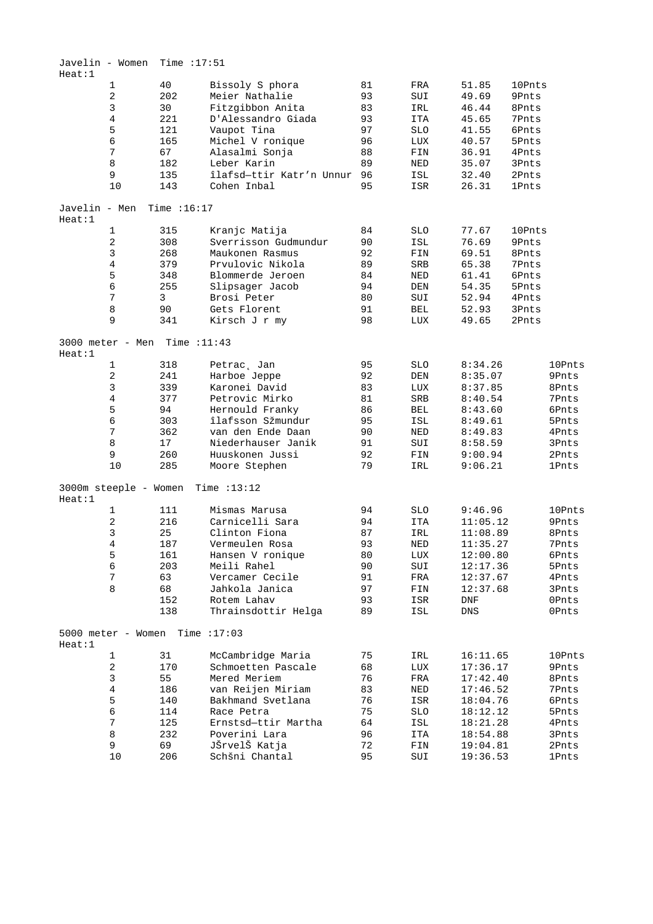| Javelin - Women<br>Heat:1 |                       | Time $:17:51$ |                          |    |                                |             |              |              |
|---------------------------|-----------------------|---------------|--------------------------|----|--------------------------------|-------------|--------------|--------------|
|                           | $\mathbf{1}$          | 40            | Bissoly S phora          | 81 | FRA                            | 51.85       | 10Pnts       |              |
|                           | 2                     | 202           | Meier Nathalie           | 93 | SUI                            | 49.69       | 9Pnts        |              |
|                           | 3                     | 30            | Fitzgibbon Anita         | 83 | IRL                            | 46.44       | 8Pnts        |              |
|                           | $\overline{4}$        | 221           | D'Alessandro Giada       | 93 | ITA                            | 45.65       | 7Pnts        |              |
|                           |                       |               |                          |    |                                |             |              |              |
|                           | 5                     | 121           | Vaupot Tina              | 97 | <b>SLO</b>                     | 41.55       | 6Pnts        |              |
|                           | б                     | 165           | Michel V ronique         | 96 | LUX                            | 40.57       | 5Pnts        |              |
|                           | 7                     | 67            | Alasalmi Sonja           | 88 | FIN                            | 36.91       | 4Pnts        |              |
|                           | 8                     | 182           | Leber Karin              | 89 | NED                            | 35.07       | 3Pnts        |              |
|                           | 9                     | 135           | îlafsd-ttir Katr'n Unnur | 96 | ISL                            | 32.40       | 2Pnts        |              |
|                           | 10                    | 143           | Cohen Inbal              | 95 | ISR                            | 26.31       | <b>1Pnts</b> |              |
| Javelin - Men             |                       | Time $:16:17$ |                          |    |                                |             |              |              |
| Heat:1                    |                       |               |                          |    |                                |             |              |              |
|                           | 1                     | 315           | Kranjc Matija            | 84 | <b>SLO</b>                     | 77.67       | 10Pnts       |              |
|                           | 2                     | 308           | Sverrisson Gudmundur     | 90 | ISL                            | 76.69       | 9Pnts        |              |
|                           | 3                     | 268           | Maukonen Rasmus          | 92 | FIN                            | 69.51       | 8Pnts        |              |
|                           | 4                     | 379           | Prvulovic Nikola         | 89 | SRB                            | 65.38       | 7Pnts        |              |
|                           | 5                     | 348           | Blommerde Jeroen         | 84 | NED                            | 61.41       | 6Pnts        |              |
|                           | б                     | 255           | Slipsager Jacob          | 94 | DEN                            | 54.35       | 5Pnts        |              |
|                           | 7                     | 3             | Brosi Peter              | 80 | SUI                            | 52.94       | 4Pnts        |              |
|                           | 8                     | 90            | Gets Florent             | 91 | BEL                            | 52.93       | 3Pnts        |              |
|                           | 9                     | 341           | Kirsch J r my            | 98 | LUX                            | 49.65       | 2Pnts        |              |
|                           |                       |               |                          |    |                                |             |              |              |
|                           | 3000 meter - Men      | Time :11:43   |                          |    |                                |             |              |              |
| Heat:1                    |                       |               |                          |    |                                |             |              |              |
|                           | $\mathbf{1}$          | 318           | Petrac, Jan              | 95 | <b>SLO</b>                     | 8:34.26     |              | 10Pnts       |
|                           | 2                     | 241           | Harboe Jeppe             | 92 | DEN                            | 8:35.07     |              | 9Pnts        |
|                           | 3                     | 339           | Karonei David            | 83 | LUX                            | 8:37.85     |              | 8Pnts        |
|                           | 4                     | 377           | Petrovic Mirko           | 81 | <b>SRB</b>                     | 8:40.54     |              | 7Pnts        |
|                           | 5                     | 94            | Hernould Franky          | 86 | BEL                            | 8:43.60     |              | 6Pnts        |
|                           | б                     | 303           | îlafsson Sžmundur        | 95 | ISL                            | 8:49.61     |              | 5Pnts        |
|                           | 7                     | 362           | van den Ende Daan        | 90 | NED                            | 8:49.83     |              | 4Pnts        |
|                           | 8                     | 17            | Niederhauser Janik       | 91 | SUI                            | 8:58.59     |              | 3Pnts        |
|                           | 9                     | 260           | Huuskonen Jussi          | 92 | FIN                            | 9:00.94     |              | 2Pnts        |
|                           | 10                    | 285           | Moore Stephen            | 79 | IRL                            | 9:06.21     |              | <b>1Pnts</b> |
| Heat:1                    | 3000m steeple - Women |               | Time $:13:12$            |    |                                |             |              |              |
|                           | 1                     | 111           | Mismas Marusa            | 94 | <b>SLO</b>                     | 9:46.96     |              | 10Pnts       |
|                           | 2                     | 216           | Carnicelli Sara          | 94 | ITA                            | 11:05.12    |              | 9Pnts        |
|                           |                       |               |                          |    |                                |             |              |              |
|                           | 3                     | 25            | Clinton Fiona            | 87 | IRL                            | 11:08.89    |              | 8Pnts        |
|                           | 4                     | 187           | Vermeulen Rosa           | 93 | NED                            | 11:35.27    |              | 7Pnts        |
|                           | 5                     | 161           | Hansen V ronique         | 80 | $_{\mbox{\footnotesize{LUX}}}$ | 12:00.80    |              | 6Pnts        |
|                           | б                     | 203           | Meili Rahel              | 90 | SUI                            | 12:17.36    |              | 5Pnts        |
|                           | 7                     | 63            | Vercamer Cecile          | 91 | FRA                            | 12:37.67    |              | 4Pnts        |
|                           | 8                     | 68            | Jahkola Janica           | 97 | FIN                            | 12:37.68    |              | 3Pnts        |
|                           |                       | 152           | Rotem Lahav              | 93 | ISR                            | DNF         |              | OPnts        |
|                           |                       | 138           | Thrainsdottir Helga      | 89 | ISL                            | ${\rm DNS}$ |              | 0Pnts        |
| Heat:1                    | 5000 meter - Women    |               | Time $:17:03$            |    |                                |             |              |              |
|                           | 1                     | 31            | McCambridge Maria        | 75 | IRL                            | 16:11.65    |              | 10Pnts       |
|                           | 2                     | 170           | Schmoetten Pascale       | 68 | LUX                            | 17:36.17    |              | 9Pnts        |
|                           | 3                     | 55            | Mered Meriem             | 76 | FRA                            | 17:42.40    |              | 8Pnts        |
|                           | 4                     | 186           | van Reijen Miriam        | 83 | NED                            | 17:46.52    |              | 7Pnts        |
|                           | 5                     | 140           | Bakhmand Svetlana        | 76 | ISR                            | 18:04.76    |              | 6Pnts        |
|                           | б                     | 114           | Race Petra               | 75 | <b>SLO</b>                     | 18:12.12    |              | 5Pnts        |
|                           |                       |               |                          |    |                                |             |              |              |
|                           | 7                     | 125           | Ernstsd-ttir Martha      | 64 | ISL                            | 18:21.28    |              | 4Pnts        |
|                           | 8                     | 232           | Poverini Lara            | 96 | ITA                            | 18:54.88    |              | 3Pnts        |
|                           | 9                     | 69            | JŠrvelŠ Katja            | 72 | FIN                            | 19:04.81    |              | 2Pnts        |
|                           | 10                    | 206           | Schšni Chantal           | 95 | SUI                            | 19:36.53    |              | <b>1Pnts</b> |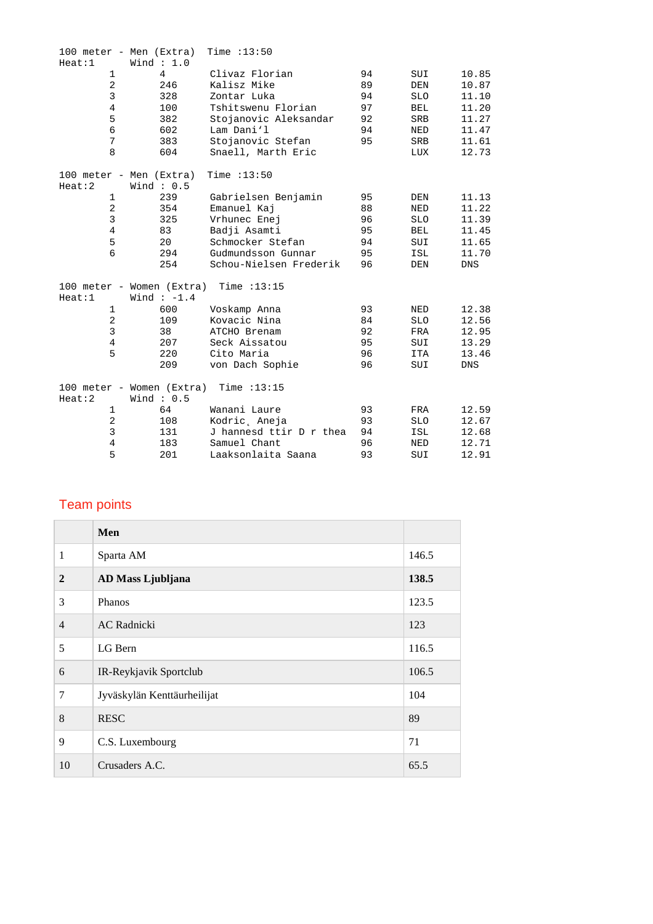|                | 100 meter - Men (Extra)   | Time $:13:50$           |    |            |            |
|----------------|---------------------------|-------------------------|----|------------|------------|
| Heat:1         | Wind $: 1.0$              |                         |    |            |            |
| $\mathbf{1}$   | $\overline{4}$            | Clivaz Florian          | 94 | SUI        | 10.85      |
| $\overline{2}$ | 246                       | Kalisz Mike             | 89 | DEN        | 10.87      |
| 3              | 328                       | Zontar Luka             | 94 | <b>SLO</b> | 11.10      |
| $\overline{4}$ | 100                       | Tshitswenu Florian      | 97 | <b>BEL</b> | 11.20      |
| 5              | 382                       | Stojanovic Aleksandar   | 92 | SRB        | 11.27      |
| 6              | 602                       | Lam Dani'l              | 94 | NED        | 11.47      |
| 7              | 383                       | Stojanovic Stefan       | 95 | SRB        | 11.61      |
| 8              | 604                       | Snaell, Marth Eric      |    | LUX        | 12.73      |
|                | 100 meter - Men (Extra)   | Time : 13:50            |    |            |            |
| Heat:2         | Wind: $0.5$               |                         |    |            |            |
| $\mathbf{1}$   | 239                       | Gabrielsen Benjamin     | 95 | DEN        | 11.13      |
| $\overline{a}$ | 354                       | Emanuel Kaj             | 88 | <b>NED</b> | 11.22      |
| $\mathbf{3}$   | 325                       | Vrhunec Enej            | 96 | <b>SLO</b> | 11.39      |
| $\overline{4}$ | 83                        | Badji Asamti            | 95 | <b>BEL</b> | 11.45      |
| 5              | 20                        | Schmocker Stefan        | 94 | SUI        | 11.65      |
| 6              | 294                       | Gudmundsson Gunnar      | 95 | ISL        | 11.70      |
|                | 254                       | Schou-Nielsen Frederik  | 96 | DEN        | <b>DNS</b> |
|                | 100 meter - Women (Extra) | Time $:13:15$           |    |            |            |
| Heat:1         | Wind $:-1.4$              |                         |    |            |            |
| $\mathbf{1}$   | 600                       | Voskamp Anna            | 93 | NED        | 12.38      |
| 2              | 109                       | Kovacic Nina            | 84 | SLO        | 12.56      |
| 3              | 38                        | ATCHO Brenam            | 92 | FRA        | 12.95      |
| $\overline{4}$ | 207                       | Seck Aissatou           | 95 | SUI        | 13.29      |
| 5              | 220                       | Cito Maria              | 96 | <b>ITA</b> | 13.46      |
|                | 209                       | von Dach Sophie         | 96 | SUI        | <b>DNS</b> |
|                | 100 meter - Women (Extra) | Time $:13:15$           |    |            |            |
| Heat:2         | Wind: $0.5$               |                         |    |            |            |
| $\mathbf{1}$   | 64                        | Wanani Laure            | 93 | FRA        | 12.59      |
| $\overline{2}$ | 108                       | Kodric, Aneja           | 93 | <b>SLO</b> | 12.67      |
| 3              | 131                       | J hannesd ttir D r thea | 94 | ISL        | 12.68      |
| $\overline{4}$ | 183                       | Samuel Chant            | 96 | NED        | 12.71      |
| 5              | 201                       | Laaksonlaita Saana      | 93 | SUI        | 12.91      |

## Team points

|                | Men                         |       |
|----------------|-----------------------------|-------|
| $\mathbf{1}$   | Sparta AM                   | 146.5 |
| $\mathbf{2}$   | AD Mass Ljubljana           | 138.5 |
| 3              | Phanos                      | 123.5 |
| $\overline{4}$ | <b>AC</b> Radnicki          | 123   |
| 5              | LG Bern                     | 116.5 |
| 6              | IR-Reykjavik Sportclub      | 106.5 |
| 7              | Jyväskylän Kenttäurheilijat | 104   |
| 8              | <b>RESC</b>                 | 89    |
| 9              | C.S. Luxembourg             | 71    |
| 10             | Crusaders A.C.              | 65.5  |